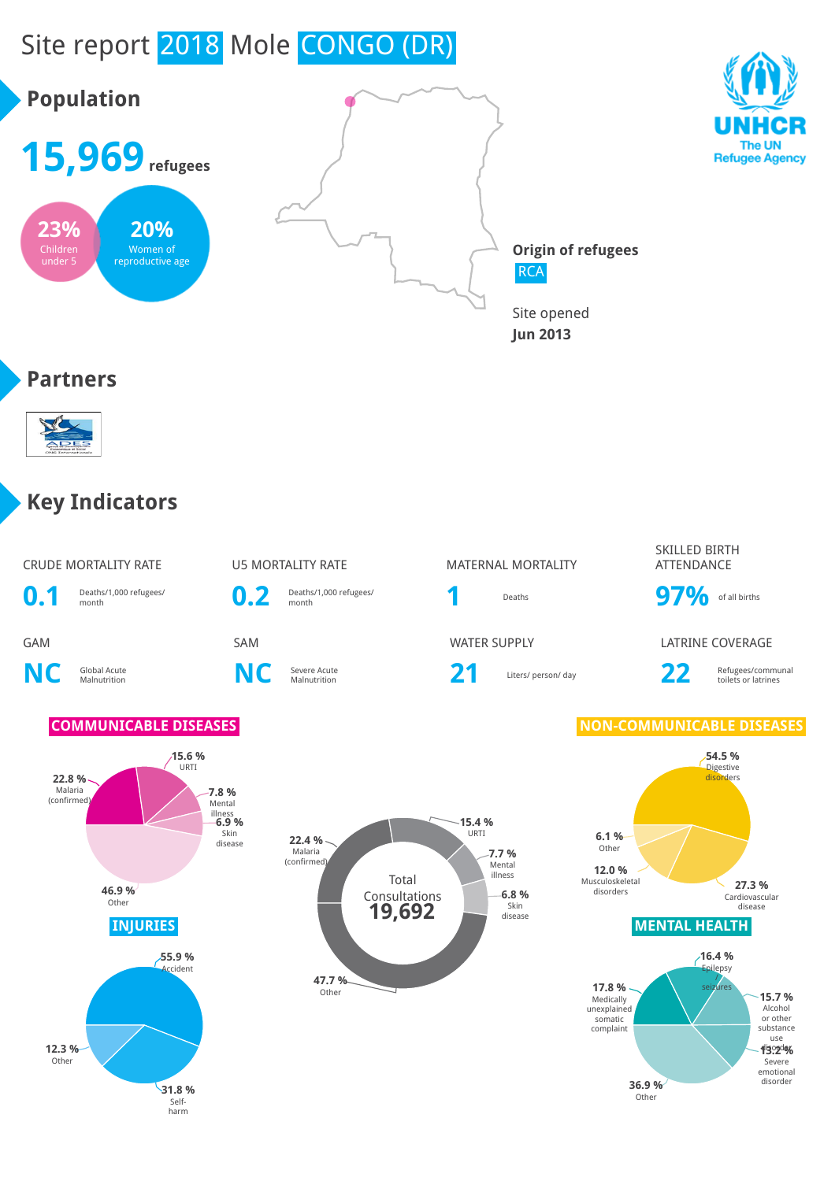#### Site report 2018 Mole CONGO (DR) **Population 15,969refugees** The UN **Refugee Agency 23% 20% Origin of refugees** Children Women of under 5 reproductive age **RCA** Site opened **Jun 2013 Partners SALLES Key Indicators**

CRUDE MORTALITY RATE **U5 MORTALITY RATE** MATERNAL MORTALITY

**0.1** Deaths/1,000 refugees/

**NC** Global Acute

**22.8 %**

**12.3 %** Other

**C** Severe Acute<br>Malnutrition **NC** Severe Acute

**15.6 %** URTI

**0.2** Deaths/1,000 refugees/

# Deaths/1,000 refugees/<br>month **97%** of all births

Severe Acute **21** Liters/ person/ day **22** Refugees/communal collection and the US Refugees/communal

SKILLED BIRTH ATTENDANCE

GAM SAM WATER SUPPLY LATRINE COVERAGE

toilets or latrines

emotional

#### **COMMUNICABLE DISEASES NON-COMMUNICABLE DISEASES**



disorder **36.9 %** Other

Malaria (confirmed) **7.8 %** Mental illness **6.9 %** Skin disease **46.9 %** Other **55.9 %** Accident

> **31.8 %** Selfharm

**47.7 %** Othe

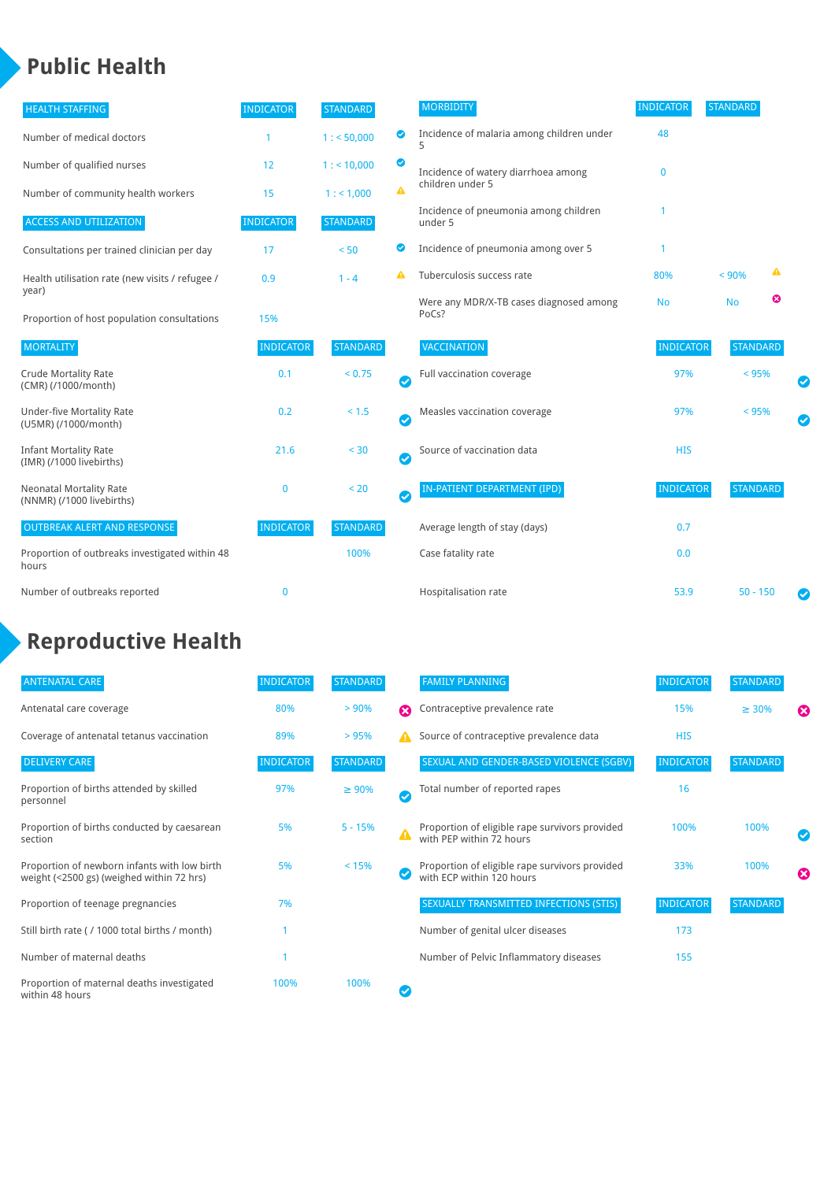#### **Public Health**

| <b>HEALTH STAFFING</b>                                      | <b>INDICATOR</b> | <b>STANDARD</b> |           | <b>MORBIDITY</b>                                 | <b>INDICATOR</b> | <b>STANDARD</b> |   |  |
|-------------------------------------------------------------|------------------|-----------------|-----------|--------------------------------------------------|------------------|-----------------|---|--|
| Number of medical doctors                                   |                  | 1: 50,000       | ◎         | Incidence of malaria among children under        | 48               |                 |   |  |
| Number of qualified nurses                                  | 12               | $1:$ < 10,000   | ◙         | Incidence of watery diarrhoea among              | 0                |                 |   |  |
| Number of community health workers                          | 15               | 1: 1,000        | A         | children under 5                                 |                  |                 |   |  |
| <b>ACCESS AND UTILIZATION</b>                               | <b>INDICATOR</b> | <b>STANDARD</b> |           | Incidence of pneumonia among children<br>under 5 |                  |                 |   |  |
| Consultations per trained clinician per day                 | 17               | < 50            | ◙         | Incidence of pneumonia among over 5              |                  |                 |   |  |
| Health utilisation rate (new visits / refugee /             | 0.9              | $1 - 4$         |           | Tuberculosis success rate                        | 80%              | < 90%           | ▲ |  |
| year)<br>Proportion of host population consultations        | 15%              |                 |           | Were any MDR/X-TB cases diagnosed among<br>PoCs? | <b>No</b>        | <b>No</b>       | ☺ |  |
| <b>MORTALITY</b>                                            | <b>INDICATOR</b> | <b>STANDARD</b> |           | VACCINATION                                      | <b>INDICATOR</b> | <b>STANDARD</b> |   |  |
| <b>Crude Mortality Rate</b><br>(CMR) (/1000/month)          | 0.1              | < 0.75          | $\bullet$ | Full vaccination coverage                        | 97%              | $< 95\%$        |   |  |
| <b>Under-five Mortality Rate</b><br>(U5MR) (/1000/month)    | 0.2              | $< 1.5$         | $\bullet$ | Measles vaccination coverage                     | 97%              | < 95%           |   |  |
| <b>Infant Mortality Rate</b><br>(IMR) (/1000 livebirths)    | 21.6             | < 30            | $\bullet$ | Source of vaccination data                       | <b>HIS</b>       |                 |   |  |
| <b>Neonatal Mortality Rate</b><br>(NNMR) (/1000 livebirths) | $\mathbf{0}$     | < 20            | $\bullet$ | <b>IN-PATIENT DEPARTMENT (IPD)</b>               | <b>INDICATOR</b> | <b>STANDARD</b> |   |  |
| <b>OUTBREAK ALERT AND RESPONSE</b>                          | <b>INDICATOR</b> | <b>STANDARD</b> |           | Average length of stay (days)                    | 0.7              |                 |   |  |
| Proportion of outbreaks investigated within 48<br>hours     |                  | 100%            |           | Case fatality rate                               | 0.0              |                 |   |  |
| Number of outbreaks reported                                | $\mathbf{0}$     |                 |           | Hospitalisation rate                             | 53.9             | $50 - 150$      |   |  |

### **Reproductive Health**

| <b>ANTENATAL CARE</b>                                                                     | <b>INDICATOR</b> | <b>STANDARD</b> |              | <b>FAMILY PLANNING</b>                                                      | <b>INDICATOR</b> | <b>STANDARD</b> |   |
|-------------------------------------------------------------------------------------------|------------------|-----------------|--------------|-----------------------------------------------------------------------------|------------------|-----------------|---|
|                                                                                           |                  |                 |              |                                                                             |                  |                 |   |
| Antenatal care coverage                                                                   | 80%              | > 90%           | Ω            | Contraceptive prevalence rate                                               | 15%              | $\geq 30\%$     | ೞ |
| Coverage of antenatal tetanus vaccination                                                 | 89%              | >95%            |              | Source of contraceptive prevalence data                                     | <b>HIS</b>       |                 |   |
| <b>DELIVERY CARE</b>                                                                      | <b>INDICATOR</b> | <b>STANDARD</b> |              | SEXUAL AND GENDER-BASED VIOLENCE (SGBV)                                     | <b>INDICATOR</b> | <b>STANDARD</b> |   |
| Proportion of births attended by skilled<br>personnel                                     | 97%              | $\geq 90\%$     | $\checkmark$ | Total number of reported rapes                                              | 16               |                 |   |
| Proportion of births conducted by caesarean<br>section                                    | 5%               | $5 - 15%$       |              | Proportion of eligible rape survivors provided<br>with PEP within 72 hours  | 100%             | 100%            |   |
| Proportion of newborn infants with low birth<br>weight (<2500 gs) (weighed within 72 hrs) | 5%               | < 15%           |              | Proportion of eligible rape survivors provided<br>with ECP within 120 hours | 33%              | 100%            | Ø |
| Proportion of teenage pregnancies                                                         | 7%               |                 |              | <b>SEXUALLY TRANSMITTED INFECTIONS (STIS)</b>                               | <b>INDICATOR</b> | <b>STANDARD</b> |   |
| Still birth rate (/ 1000 total births / month)                                            |                  |                 |              | Number of genital ulcer diseases                                            | 173              |                 |   |
| Number of maternal deaths                                                                 |                  |                 |              | Number of Pelvic Inflammatory diseases                                      | 155              |                 |   |
| Proportion of maternal deaths investigated<br>within 48 hours                             | 100%             | 100%            |              |                                                                             |                  |                 |   |